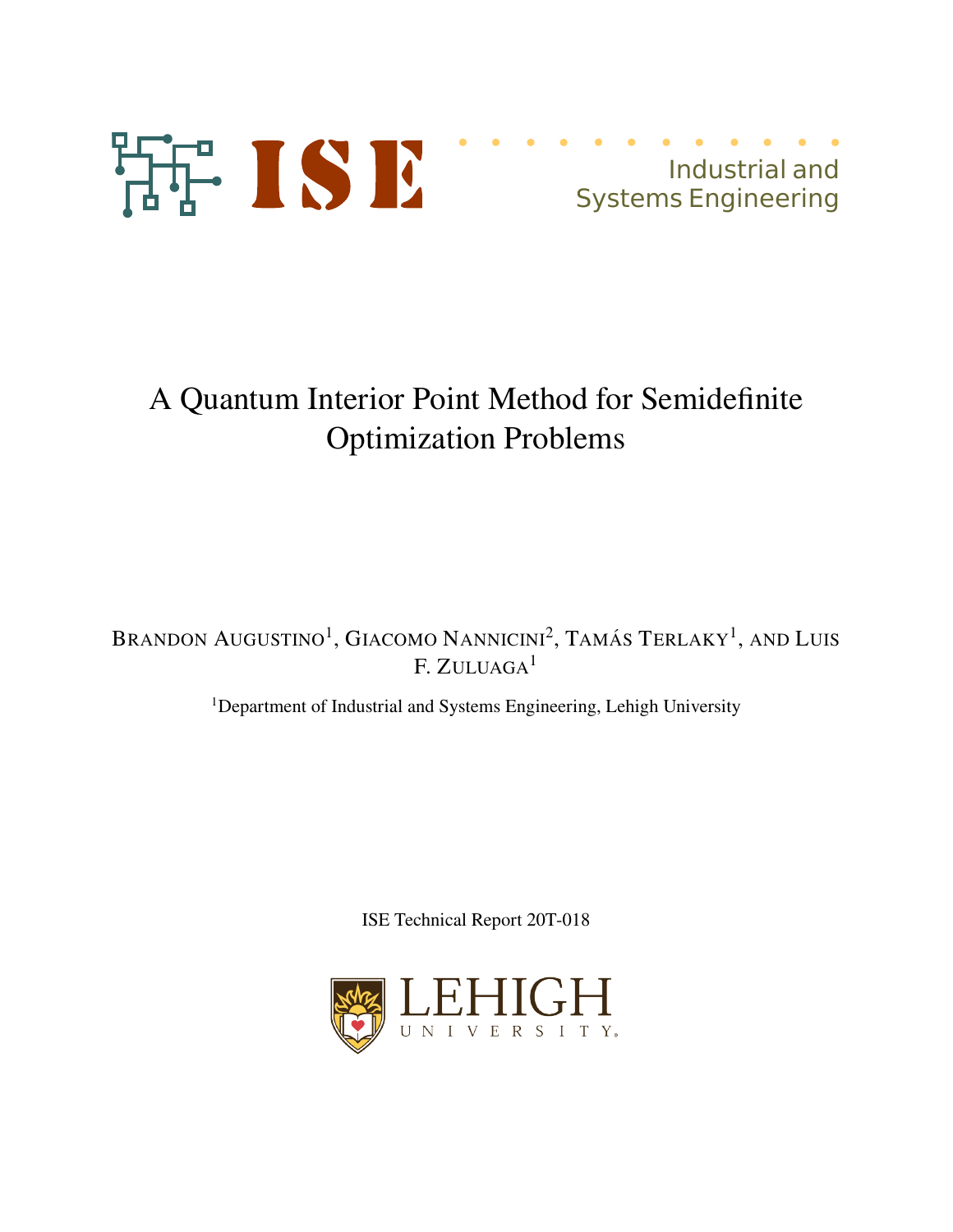

## A Quantum Interior Point Method for Semidefinite Optimization Problems

Brandon Augustino<sup>1</sup>, Giacomo Nannicini<sup>2</sup>, Tamás Terlaky<sup>1</sup>, and Luis F. ZULUAGA<sup>1</sup>

<sup>1</sup>Department of Industrial and Systems Engineering, Lehigh University

ISE Technical Report 20T-018